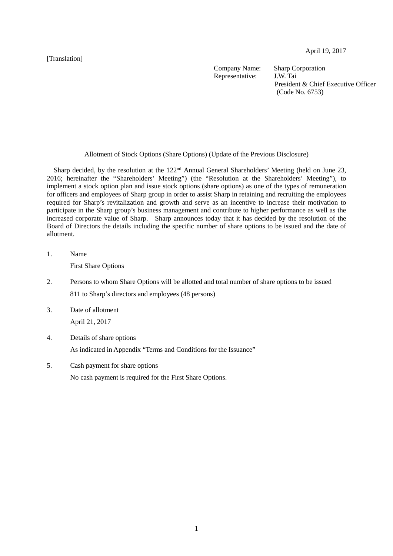[Translation]

April 19, 2017

Company Name: Sharp Corporation<br>Representative: J.W. Tai Representative:

President & Chief Executive Officer (Code No. 6753)

Allotment of Stock Options (Share Options) (Update of the Previous Disclosure)

Sharp decided, by the resolution at the 122<sup>nd</sup> Annual General Shareholders' Meeting (held on June 23, 2016; hereinafter the "Shareholders' Meeting") (the "Resolution at the Shareholders' Meeting"), to implement a stock option plan and issue stock options (share options) as one of the types of remuneration for officers and employees of Sharp group in order to assist Sharp in retaining and recruiting the employees required for Sharp's revitalization and growth and serve as an incentive to increase their motivation to participate in the Sharp group's business management and contribute to higher performance as well as the increased corporate value of Sharp. Sharp announces today that it has decided by the resolution of the Board of Directors the details including the specific number of share options to be issued and the date of allotment.

1. Name

First Share Options

- 2. Persons to whom Share Options will be allotted and total number of share options to be issued 811 to Sharp's directors and employees (48 persons)
- 3. Date of allotment April 21, 2017
- 4. Details of share options As indicated in Appendix "Terms and Conditions for the Issuance"
- 5. Cash payment for share options No cash payment is required for the First Share Options.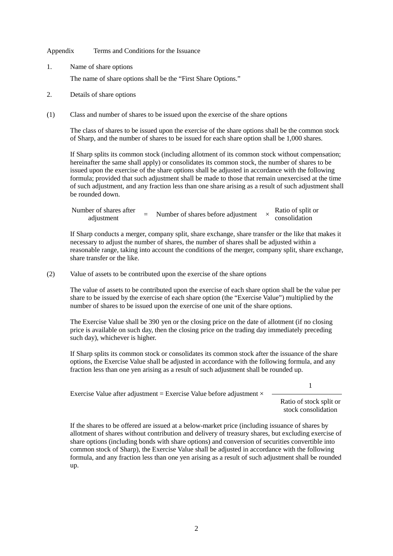Appendix Terms and Conditions for the Issuance

1. Name of share options

The name of share options shall be the "First Share Options."

- 2. Details of share options
- (1) Class and number of shares to be issued upon the exercise of the share options

The class of shares to be issued upon the exercise of the share options shall be the common stock of Sharp, and the number of shares to be issued for each share option shall be 1,000 shares.

If Sharp splits its common stock (including allotment of its common stock without compensation; hereinafter the same shall apply) or consolidates its common stock, the number of shares to be issued upon the exercise of the share options shall be adjusted in accordance with the following formula; provided that such adjustment shall be made to those that remain unexercised at the time of such adjustment, and any fraction less than one share arising as a result of such adjustment shall be rounded down.

| Number of shares after |  | Number of shares before adjustment | Ratio of split or |
|------------------------|--|------------------------------------|-------------------|
| adjustment             |  |                                    | consolidation     |

If Sharp conducts a merger, company split, share exchange, share transfer or the like that makes it necessary to adjust the number of shares, the number of shares shall be adjusted within a reasonable range, taking into account the conditions of the merger, company split, share exchange, share transfer or the like.

(2) Value of assets to be contributed upon the exercise of the share options

The value of assets to be contributed upon the exercise of each share option shall be the value per share to be issued by the exercise of each share option (the "Exercise Value") multiplied by the number of shares to be issued upon the exercise of one unit of the share options.

The Exercise Value shall be 390 yen or the closing price on the date of allotment (if no closing price is available on such day, then the closing price on the trading day immediately preceding such day), whichever is higher.

If Sharp splits its common stock or consolidates its common stock after the issuance of the share options, the Exercise Value shall be adjusted in accordance with the following formula, and any fraction less than one yen arising as a result of such adjustment shall be rounded up.

Exercise Value after adjustment = Exercise Value before adjustment  $\times$ 

Ratio of stock split or

1

stock consolidation

If the shares to be offered are issued at a below-market price (including issuance of shares by allotment of shares without contribution and delivery of treasury shares, but excluding exercise of share options (including bonds with share options) and conversion of securities convertible into common stock of Sharp), the Exercise Value shall be adjusted in accordance with the following formula, and any fraction less than one yen arising as a result of such adjustment shall be rounded up.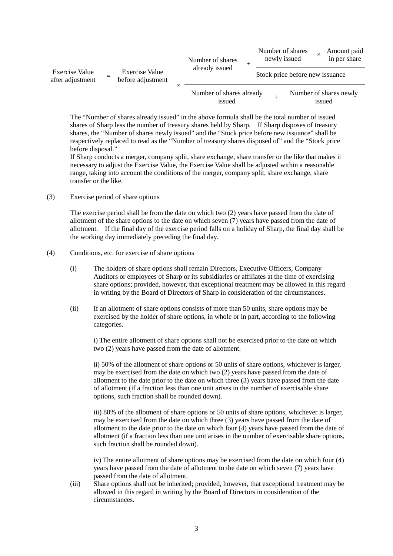| <b>Exercise Value</b><br>after adjustment | <b>Exercise Value</b><br>before adjustment | Number of shares<br>already issued |  |                                 | Number of shares<br>newly issued |  | Amount paid<br>in per share      |
|-------------------------------------------|--------------------------------------------|------------------------------------|--|---------------------------------|----------------------------------|--|----------------------------------|
|                                           |                                            |                                    |  | Stock price before new issuance |                                  |  |                                  |
|                                           |                                            | Number of shares already<br>issued |  |                                 |                                  |  | Number of shares newly<br>issued |

The "Number of shares already issued" in the above formula shall be the total number of issued shares of Sharp less the number of treasury shares held by Sharp. If Sharp disposes of treasury shares, the "Number of shares newly issued" and the "Stock price before new issuance" shall be respectively replaced to read as the "Number of treasury shares disposed of" and the "Stock price before disposal."

If Sharp conducts a merger, company split, share exchange, share transfer or the like that makes it necessary to adjust the Exercise Value, the Exercise Value shall be adjusted within a reasonable range, taking into account the conditions of the merger, company split, share exchange, share transfer or the like.

(3) Exercise period of share options

The exercise period shall be from the date on which two (2) years have passed from the date of allotment of the share options to the date on which seven (7) years have passed from the date of allotment. If the final day of the exercise period falls on a holiday of Sharp, the final day shall be the working day immediately preceding the final day.

- (4) Conditions, etc. for exercise of share options
	- (i) The holders of share options shall remain Directors, Executive Officers, Company Auditors or employees of Sharp or its subsidiaries or affiliates at the time of exercising share options; provided, however, that exceptional treatment may be allowed in this regard in writing by the Board of Directors of Sharp in consideration of the circumstances.
	- (ii) If an allotment of share options consists of more than 50 units, share options may be exercised by the holder of share options, in whole or in part, according to the following categories.

i) The entire allotment of share options shall not be exercised prior to the date on which two (2) years have passed from the date of allotment.

ii) 50% of the allotment of share options or 50 units of share options, whichever is larger, may be exercised from the date on which two (2) years have passed from the date of allotment to the date prior to the date on which three (3) years have passed from the date of allotment (if a fraction less than one unit arises in the number of exercisable share options, such fraction shall be rounded down).

iii) 80% of the allotment of share options or 50 units of share options, whichever is larger, may be exercised from the date on which three (3) years have passed from the date of allotment to the date prior to the date on which four (4) years have passed from the date of allotment (if a fraction less than one unit arises in the number of exercisable share options, such fraction shall be rounded down).

iv) The entire allotment of share options may be exercised from the date on which four (4) years have passed from the date of allotment to the date on which seven (7) years have passed from the date of allotment.

(iii) Share options shall not be inherited; provided, however, that exceptional treatment may be allowed in this regard in writing by the Board of Directors in consideration of the circumstances.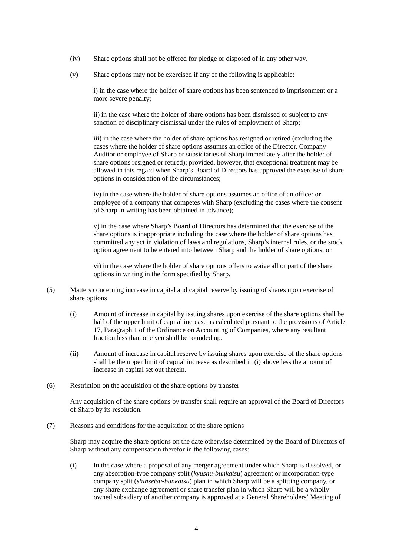- (iv) Share options shall not be offered for pledge or disposed of in any other way.
- (v) Share options may not be exercised if any of the following is applicable:

i) in the case where the holder of share options has been sentenced to imprisonment or a more severe penalty;

ii) in the case where the holder of share options has been dismissed or subject to any sanction of disciplinary dismissal under the rules of employment of Sharp;

iii) in the case where the holder of share options has resigned or retired (excluding the cases where the holder of share options assumes an office of the Director, Company Auditor or employee of Sharp or subsidiaries of Sharp immediately after the holder of share options resigned or retired); provided, however, that exceptional treatment may be allowed in this regard when Sharp's Board of Directors has approved the exercise of share options in consideration of the circumstances;

iv) in the case where the holder of share options assumes an office of an officer or employee of a company that competes with Sharp (excluding the cases where the consent of Sharp in writing has been obtained in advance);

v) in the case where Sharp's Board of Directors has determined that the exercise of the share options is inappropriate including the case where the holder of share options has committed any act in violation of laws and regulations, Sharp's internal rules, or the stock option agreement to be entered into between Sharp and the holder of share options; or

vi) in the case where the holder of share options offers to waive all or part of the share options in writing in the form specified by Sharp.

- (5) Matters concerning increase in capital and capital reserve by issuing of shares upon exercise of share options
	- (i) Amount of increase in capital by issuing shares upon exercise of the share options shall be half of the upper limit of capital increase as calculated pursuant to the provisions of Article 17, Paragraph 1 of the Ordinance on Accounting of Companies, where any resultant fraction less than one yen shall be rounded up.
	- (ii) Amount of increase in capital reserve by issuing shares upon exercise of the share options shall be the upper limit of capital increase as described in (i) above less the amount of increase in capital set out therein.
- (6) Restriction on the acquisition of the share options by transfer

Any acquisition of the share options by transfer shall require an approval of the Board of Directors of Sharp by its resolution.

(7) Reasons and conditions for the acquisition of the share options

Sharp may acquire the share options on the date otherwise determined by the Board of Directors of Sharp without any compensation therefor in the following cases:

(i) In the case where a proposal of any merger agreement under which Sharp is dissolved, or any absorption-type company split (*kyushu-bunkatsu*) agreement or incorporation-type company split (*shinsetsu-bunkatsu*) plan in which Sharp will be a splitting company, or any share exchange agreement or share transfer plan in which Sharp will be a wholly owned subsidiary of another company is approved at a General Shareholders' Meeting of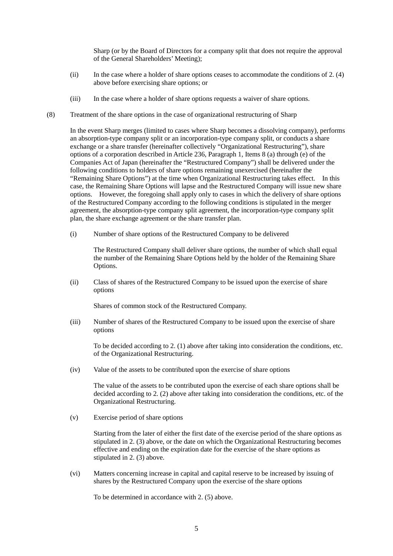Sharp (or by the Board of Directors for a company split that does not require the approval of the General Shareholders' Meeting);

- (ii) In the case where a holder of share options ceases to accommodate the conditions of 2. (4) above before exercising share options; or
- (iii) In the case where a holder of share options requests a waiver of share options.
- (8) Treatment of the share options in the case of organizational restructuring of Sharp

In the event Sharp merges (limited to cases where Sharp becomes a dissolving company), performs an absorption-type company split or an incorporation-type company split, or conducts a share exchange or a share transfer (hereinafter collectively "Organizational Restructuring"), share options of a corporation described in Article 236, Paragraph 1, Items 8 (a) through (e) of the Companies Act of Japan (hereinafter the "Restructured Company") shall be delivered under the following conditions to holders of share options remaining unexercised (hereinafter the "Remaining Share Options") at the time when Organizational Restructuring takes effect. In this case, the Remaining Share Options will lapse and the Restructured Company will issue new share options. However, the foregoing shall apply only to cases in which the delivery of share options of the Restructured Company according to the following conditions is stipulated in the merger agreement, the absorption-type company split agreement, the incorporation-type company split plan, the share exchange agreement or the share transfer plan.

(i) Number of share options of the Restructured Company to be delivered

The Restructured Company shall deliver share options, the number of which shall equal the number of the Remaining Share Options held by the holder of the Remaining Share Options.

(ii) Class of shares of the Restructured Company to be issued upon the exercise of share options

Shares of common stock of the Restructured Company.

(iii) Number of shares of the Restructured Company to be issued upon the exercise of share options

To be decided according to 2. (1) above after taking into consideration the conditions, etc. of the Organizational Restructuring.

(iv) Value of the assets to be contributed upon the exercise of share options

The value of the assets to be contributed upon the exercise of each share options shall be decided according to 2. (2) above after taking into consideration the conditions, etc. of the Organizational Restructuring.

(v) Exercise period of share options

Starting from the later of either the first date of the exercise period of the share options as stipulated in 2. (3) above, or the date on which the Organizational Restructuring becomes effective and ending on the expiration date for the exercise of the share options as stipulated in 2. (3) above.

(vi) Matters concerning increase in capital and capital reserve to be increased by issuing of shares by the Restructured Company upon the exercise of the share options

To be determined in accordance with 2. (5) above.